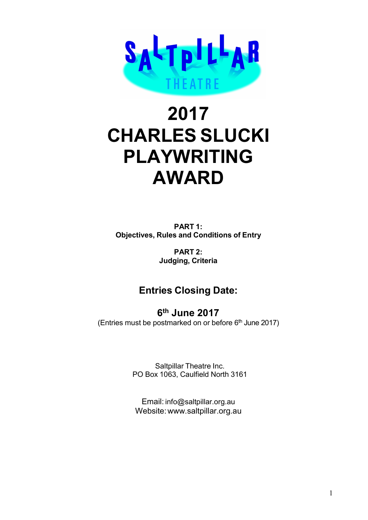

# 2017 CHARLES SLUCKI PLAYWRITING AWARD

PART 1: Objectives, Rules and Conditions of Entry

> PART 2: Judging, Criteria

# Entries Closing Date:

6 th June 2017 (Entries must be postmarked on or before  $6<sup>th</sup>$  June 2017)

> Saltpillar Theatre Inc. PO Box 1063, Caulfield North 3161

Email: info@saltpillar.org.au Website: www.saltpillar.org.au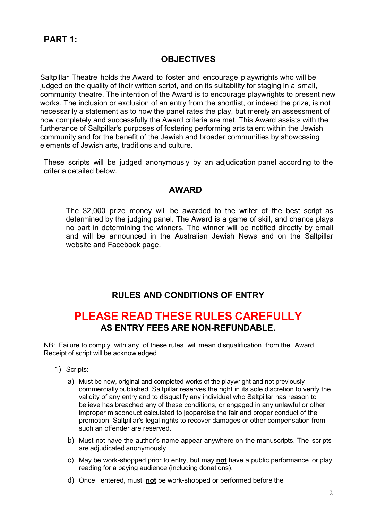### PART 1:

### **OBJECTIVES**

Saltpillar Theatre holds the Award to foster and encourage playwrights who will be judged on the quality of their written script, and on its suitability for staging in a small, community theatre. The intention of the Award is to encourage playwrights to present new works. The inclusion or exclusion of an entry from the shortlist, or indeed the prize, is not necessarily a statement as to how the panel rates the play, but merely an assessment of how completely and successfully the Award criteria are met. This Award assists with the furtherance of Saltpillar's purposes of fostering performing arts talent within the Jewish community and for the benefit of the Jewish and broader communities by showcasing elements of Jewish arts, traditions and culture.

These scripts will be judged anonymously by an adjudication panel according to the criteria detailed below.

### AWARD

The \$2,000 prize money will be awarded to the writer of the best script as determined by the judging panel. The Award is a game of skill, and chance plays no part in determining the winners. The winner will be notified directly by email and will be announced in the Australian Jewish News and on the Saltpillar website and Facebook page.

### RULES AND CONDITIONS OF ENTRY

## PLEASE READ THESE RULES CAREFULLY AS ENTRY FEES ARE NON-REFUNDABLE.

NB: Failure to comply with any of these rules will mean disqualification from the Award. Receipt of script will be acknowledged.

- 1) Scripts:
	- a) Must be new, original and completed works of the playwright and not previously commercially published. Saltpillar reserves the right in its sole discretion to verify the validity of any entry and to disqualify any individual who Saltpillar has reason to believe has breached any of these conditions, or engaged in any unlawful or other improper misconduct calculated to jeopardise the fair and proper conduct of the promotion. Saltpillar's legal rights to recover damages or other compensation from such an offender are reserved.
	- b) Must not have the author's name appear anywhere on the manuscripts. The scripts are adjudicated anonymously.
	- c) May be work-shopped prior to entry, but may **not** have a public performance or play reading for a paying audience (including donations).
	- d) Once entered, must not be work-shopped or performed before the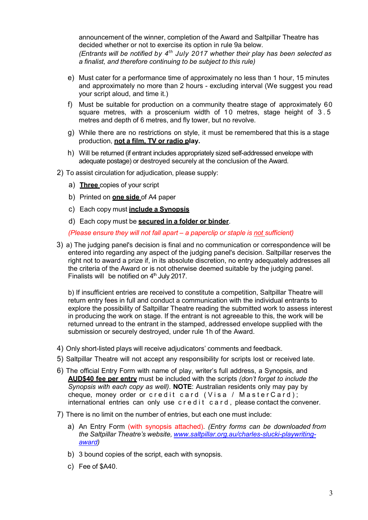announcement of the winner, completion of the Award and Saltpillar Theatre has decided whether or not to exercise its option in rule 9a below. (Entrants will be notified by  $4^{th}$  July 2017 whether their play has been selected as a finalist, and therefore continuing to be subject to this rule) announcement of the winner, completion of the Award and Saltpillar Theatre has<br>decided whether or not to exercise its option in rule 9a below.<br>
(Entrants will be notified by  $4^{th}$  July 2017 whether their play has been sel

- e) Must cater for a performance time of approximately no less than 1 hour, 15 minutes and approximately no more than 2 hours - excluding interval (We suggest you read your script aloud, and time it.)
- f) Must be suitable for production on a community theatre stage of approximately 60 metres and depth of 6 metres, and fly tower, but no revolve.
- g) While there are no restrictions on style, it must be remembered that this is a stage production, not a film, TV or radio play.
- h) Will be returned (if entrant includes appropriately sized self-addressed envelope with adequate postage) or destroyed securely at the conclusion of the Award.
- 2) To assist circulation for adjudication, please supply:
	- a) **Three** copies of your script
	- b) Printed on **one side** of A4 paper
	- c) Each copy must **include a Synopsis**
	- d) Each copy must be **secured in a folder or binder**.

(Please ensure they will not fall apart – a paperclip or staple is not sufficient)

3) a) The judging panel's decision is final and no communication or correspondence will be entered into regarding any aspect of the judging panel's decision. Saltpillar reserves the right not to award a prize if, in its absolute discretion, no entry adequately addresses all the criteria of the Award or is not otherwise deemed suitable by the judging panel. Finalists will be notified on  $4<sup>th</sup>$  July 2017.

b) If insufficient entries are received to constitute a competition, Saltpillar Theatre will return entry fees in full and conduct a communication with the individual entrants to explore the possibility of Saltpillar Theatre reading the submitted work to assess interest in producing the work on stage. If the entrant is not agreeable to this, the work will be returned unread to the entrant in the stamped, addressed envelope supplied with the submission or securely destroyed, under rule 1h of the Award.

- 4) Only short-listed plays will receive adjudicators' comments and feedback.
- 5) Saltpillar Theatre will not accept any responsibility for scripts lost or received late.
- 6) The official Entry Form with name of play, writer's full address, a Synopsis, and AUD\$40 fee per entry must be included with the scripts (don't forget to include the Synopsis with each copy as well). **NOTE**: Australian residents only may pay by cheque, money order or credit card (Visa / MasterCard); international entries can only use  $c \, r \, e \, d \, i \, t \, c \, a \, r \, d$ , please contact the convener.
- 7) There is no limit on the number of entries, but each one must include:
	- a) An Entry Form (with synopsis attached). (Entry forms can be downloaded from the Saltpillar Theatre's website, www.saltpillar.org.au/charles-slucki-playwritingaward)
	- b) 3 bound copies of the script, each with synopsis.
	- c) Fee of \$A40.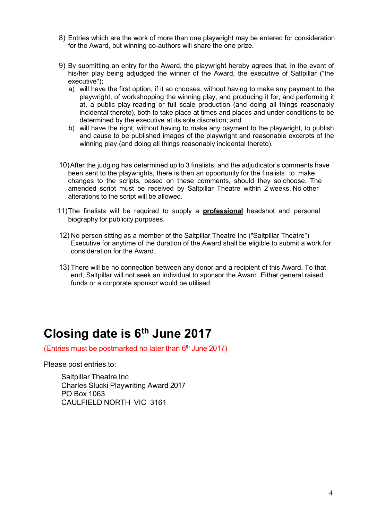- 8) Entries which are the work of more than one playwright may be entered for consideration for the Award, but winning co-authors will share the one prize.
- 9) By submitting an entry for the Award, the playwright hereby agrees that, in the event of his/her play being adjudged the winner of the Award, the executive of Saltpillar ("the executive");
	- a) will have the first option, if it so chooses, without having to make any payment to the playwright, of workshopping the winning play, and producing it for, and performing it at, a public play-reading or full scale production (and doing all things reasonably incidental thereto), both to take place at times and places and under conditions to be determined by the executive at its sole discretion; and
	- b) will have the right, without having to make any payment to the playwright, to publish and cause to be published images of the playwright and reasonable excerpts of the winning play (and doing all things reasonably incidental thereto).
- 10) After the judging has determined up to 3 finalists, and the adjudicator's comments have been sent to the playwrights, there is then an opportunity for the finalists to make changes to the scripts, based on these comments, should they so choose. The amended script must be received by Saltpillar Theatre within 2 weeks. No other alterations to the script will be allowed.
- 11) The finalists will be required to supply a **professional** headshot and personal biography for publicity purposes.
- 12) No person sitting as a member of the Saltpillar Theatre Inc ("Saltpillar Theatre") Executive for anytime of the duration of the Award shall be eligible to submit a work for consideration for the Award.
- 13) There will be no connection between any donor and a recipient of this Award. To that end, Saltpillar will not seek an individual to sponsor the Award. Either general raised funds or a corporate sponsor would be utilised.

# Closing date is 6<sup>th</sup> June 2017

(Entries must be postmarked no later than  $6<sup>th</sup>$  June 2017)

Please post entries to:

Saltpillar Theatre Inc Charles Slucki Playwriting Award 2017 PO Box 1063 CAULFIELD NORTH VIC 3161